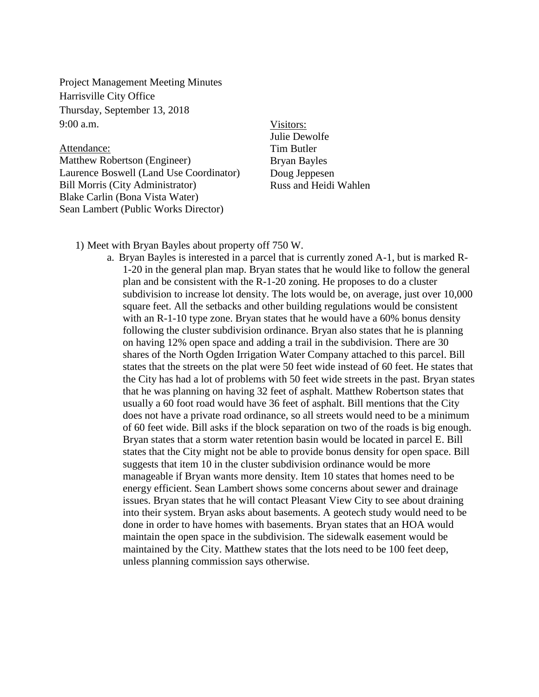Project Management Meeting Minutes Harrisville City Office Thursday, September 13, 2018  $9:00 a.m.$ 

Attendance: Matthew Robertson (Engineer) Laurence Boswell (Land Use Coordinator) Bill Morris (City Administrator) Blake Carlin (Bona Vista Water) Sean Lambert (Public Works Director)

Visitors: Julie Dewolfe Tim Butler Bryan Bayles Doug Jeppesen Russ and Heidi Wahlen

1) Meet with Bryan Bayles about property off 750 W.

a. Bryan Bayles is interested in a parcel that is currently zoned A-1, but is marked R-1-20 in the general plan map. Bryan states that he would like to follow the general plan and be consistent with the R-1-20 zoning. He proposes to do a cluster subdivision to increase lot density. The lots would be, on average, just over 10,000 square feet. All the setbacks and other building regulations would be consistent with an R-1-10 type zone. Bryan states that he would have a 60% bonus density following the cluster subdivision ordinance. Bryan also states that he is planning on having 12% open space and adding a trail in the subdivision. There are 30 shares of the North Ogden Irrigation Water Company attached to this parcel. Bill states that the streets on the plat were 50 feet wide instead of 60 feet. He states that the City has had a lot of problems with 50 feet wide streets in the past. Bryan states that he was planning on having 32 feet of asphalt. Matthew Robertson states that usually a 60 foot road would have 36 feet of asphalt. Bill mentions that the City does not have a private road ordinance, so all streets would need to be a minimum of 60 feet wide. Bill asks if the block separation on two of the roads is big enough. Bryan states that a storm water retention basin would be located in parcel E. Bill states that the City might not be able to provide bonus density for open space. Bill suggests that item 10 in the cluster subdivision ordinance would be more manageable if Bryan wants more density. Item 10 states that homes need to be energy efficient. Sean Lambert shows some concerns about sewer and drainage issues. Bryan states that he will contact Pleasant View City to see about draining into their system. Bryan asks about basements. A geotech study would need to be done in order to have homes with basements. Bryan states that an HOA would maintain the open space in the subdivision. The sidewalk easement would be maintained by the City. Matthew states that the lots need to be 100 feet deep, unless planning commission says otherwise.